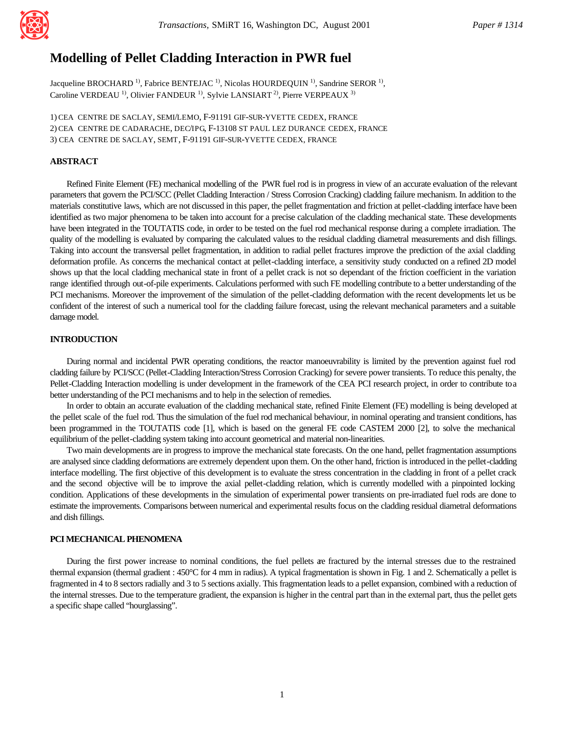

# **Modelling of Pellet Cladding Interaction in PWR fuel**

Jacqueline BROCHARD<sup>1)</sup>, Fabrice BENTEJAC<sup>1)</sup>, Nicolas HOURDEQUIN<sup>1)</sup>, Sandrine SEROR<sup>1)</sup>, Caroline VERDEAU<sup>1)</sup>, Olivier FANDEUR<sup>1)</sup>, Sylvie LANSIART<sup>2)</sup>, Pierre VERPEAUX<sup>3)</sup>

1) CEA CENTRE DE SACLAY, SEMI/LEMO, F-91191 GIF-SUR-YVETTE CEDEX, FRANCE 2) CEA CENTRE DE CADARACHE, DEC/IPG, F-13108 ST PAUL LEZ DURANCE CEDEX, FRANCE 3) CEA CENTRE DE SACLAY, SEMT, F-91191 GIF-SUR-YVETTE CEDEX, FRANCE

# **ABSTRACT**

Refined Finite Element (FE) mechanical modelling of the PWR fuel rod is in progress in view of an accurate evaluation of the relevant parameters that govern the PCI/SCC (Pellet Cladding Interaction / Stress Corrosion Cracking) cladding failure mechanism. In addition to the materials constitutive laws, which are not discussed in this paper, the pellet fragmentation and friction at pellet-cladding interface have been identified as two major phenomena to be taken into account for a precise calculation of the cladding mechanical state. These developments have been integrated in the TOUTATIS code, in order to be tested on the fuel rod mechanical response during a complete irradiation. The quality of the modelling is evaluated by comparing the calculated values to the residual cladding diametral measurements and dish fillings. Taking into account the transversal pellet fragmentation, in addition to radial pellet fractures improve the prediction of the axial cladding deformation profile. As concerns the mechanical contact at pellet-cladding interface, a sensitivity study conducted on a refined 2D model shows up that the local cladding mechanical state in front of a pellet crack is not so dependant of the friction coefficient in the variation range identified through out-of-pile experiments. Calculations performed with such FE modelling contribute to a better understanding of the PCI mechanisms. Moreover the improvement of the simulation of the pellet-cladding deformation with the recent developments let us be confident of the interest of such a numerical tool for the cladding failure forecast, using the relevant mechanical parameters and a suitable damage model.

## **INTRODUCTION**

During normal and incidental PWR operating conditions, the reactor manoeuvrability is limited by the prevention against fuel rod cladding failure by PCI/SCC (Pellet-Cladding Interaction/Stress Corrosion Cracking) for severe power transients. To reduce this penalty, the Pellet-Cladding Interaction modelling is under development in the framework of the CEA PCI research project, in order to contribute to a better understanding of the PCI mechanisms and to help in the selection of remedies.

In order to obtain an accurate evaluation of the cladding mechanical state, refined Finite Element (FE) modelling is being developed at the pellet scale of the fuel rod. Thus the simulation of the fuel rod mechanical behaviour, in nominal operating and transient conditions, has been programmed in the TOUTATIS code [1], which is based on the general FE code CASTEM 2000 [2], to solve the mechanical equilibrium of the pellet-cladding system taking into account geometrical and material non-linearities.

Two main developments are in progress to improve the mechanical state forecasts. On the one hand, pellet fragmentation assumptions are analysed since cladding deformations are extremely dependent upon them. On the other hand, friction is introduced in the pellet-cladding interface modelling. The first objective of this development is to evaluate the stress concentration in the cladding in front of a pellet crack and the second objective will be to improve the axial pellet-cladding relation, which is currently modelled with a pinpointed locking condition. Applications of these developments in the simulation of experimental power transients on pre-irradiated fuel rods are done to estimate the improvements. Comparisons between numerical and experimental results focus on the cladding residual diametral deformations and dish fillings.

## **PCI MECHANICAL PHENOMENA**

During the first power increase to nominal conditions, the fuel pellets are fractured by the internal stresses due to the restrained thermal expansion (thermal gradient : 450°C for 4 mm in radius). A typical fragmentation is shown in Fig. 1 and 2. Schematically a pellet is fragmented in 4 to 8 sectors radially and 3 to 5 sections axially. This fragmentation leads to a pellet expansion, combined with a reduction of the internal stresses. Due to the temperature gradient, the expansion is higher in the central part than in the external part, thus the pellet gets a specific shape called "hourglassing".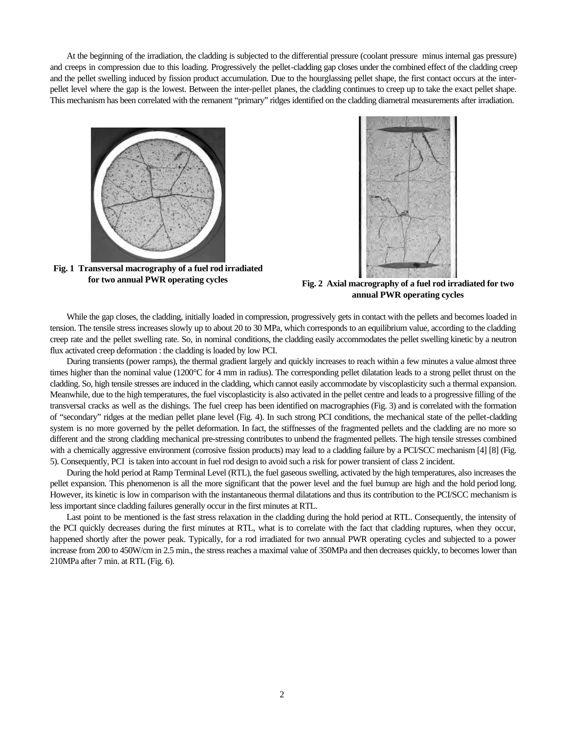At the beginning of the irradiation, the cladding is subjected to the differential pressure (coolant pressure minus internal gas pressure) and creeps in compression due to this loading. Progressively the pellet-cladding gap closes under the combined effect of the cladding creep and the pellet swelling induced by fission product accumulation. Due to the hourglassing pellet shape, the first contact occurs at the interpellet level where the gap is the lowest. Between the inter-pellet planes, the cladding continues to creep up to take the exact pellet shape. This mechanism has been correlated with the remanent "primary" ridges identified on the cladding diametral measurements after irradiation.



**Fig. 1 Transversal macrography of a fuel rod irradiated for two annual PWR operating cycles Fig. 2 Axial macrography of a fuel rod irradiated for two** 



**annual PWR operating cycles**

While the gap closes, the cladding, initially loaded in compression, progressively gets in contact with the pellets and becomes loaded in tension. The tensile stress increases slowly up to about 20 to 30 MPa, which corresponds to an equilibrium value, according to the cladding creep rate and the pellet swelling rate. So, in nominal conditions, the cladding easily accommodates the pellet swelling kinetic by a neutron flux activated creep deformation : the cladding is loaded by low PCI.

During transients (power ramps), the thermal gradient largely and quickly increases to reach within a few minutes a value almost three times higher than the nominal value (1200°C for 4 mm in radius). The corresponding pellet dilatation leads to a strong pellet thrust on the cladding. So, high tensile stresses are induced in the cladding, which cannot easily accommodate by viscoplasticity such a thermal expansion. Meanwhile, due to the high temperatures, the fuel viscoplasticity is also activated in the pellet centre and leads to a progressive filling of the transversal cracks as well as the dishings. The fuel creep has been identified on macrographies (Fig. 3) and is correlated with the formation of "secondary" ridges at the median pellet plane level (Fig. 4). In such strong PCI conditions, the mechanical state of the pellet-cladding system is no more governed by the pellet deformation. In fact, the stiffnesses of the fragmented pellets and the cladding are no more so different and the strong cladding mechanical pre-stressing contributes to unbend the fragmented pellets. The high tensile stresses combined with a chemically aggressive environment (corrosive fission products) may lead to a cladding failure by a PCI/SCC mechanism [4] [8] (Fig. 5). Consequently, PCI is taken into account in fuel rod design to avoid such a risk for power transient of class 2 incident.

During the hold period at Ramp Terminal Level (RTL), the fuel gaseous swelling, activated by the high temperatures, also increases the pellet expansion. This phenomenon is all the more significant that the power level and the fuel burnup are high and the hold period long. However, its kinetic is low in comparison with the instantaneous thermal dilatations and thus its contribution to the PCI/SCC mechanism is less important since cladding failures generally occur in the first minutes at RTL.

Last point to be mentioned is the fast stress relaxation in the cladding during the hold period at RTL. Consequently, the intensity of the PCI quickly decreases during the first minutes at RTL, what is to correlate with the fact that cladding ruptures, when they occur, happened shortly after the power peak. Typically, for a rod irradiated for two annual PWR operating cycles and subjected to a power increase from 200 to 450W/cm in 2.5 min., the stress reaches a maximal value of 350MPa and then decreases quickly, to becomes lower than 210MPa after 7 min. at RTL (Fig. 6).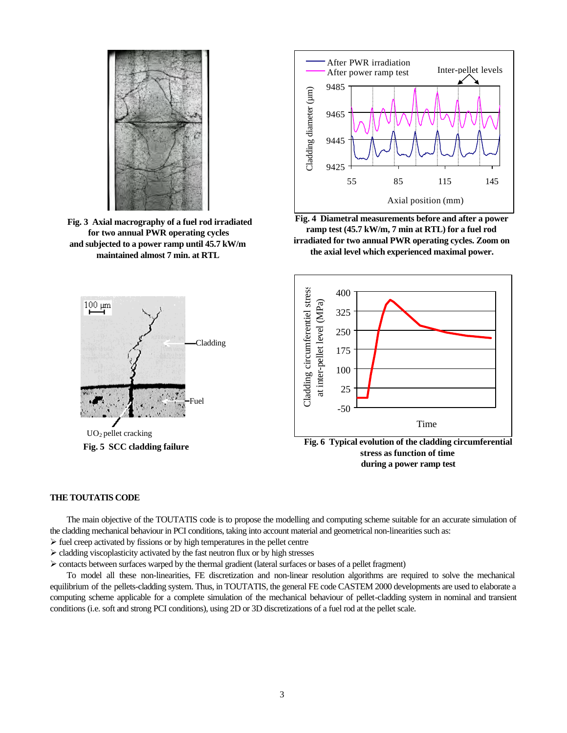

 **Fig. 3 Axial macrography of a fuel rod irradiated for two annual PWR operating cycles and subjected to a power ramp until 45.7 kW/m maintained almost 7 min. at RTL**



**Fig. 5 SCC cladding failure**



**Fig. 4 Diametral measurements before and after a power ramp test (45.7 kW/m, 7 min at RTL) for a fuel rod irradiated for two annual PWR operating cycles. Zoom on the axial level which experienced maximal power.**



**stress as function of time during a power ramp test**

## **THE TOUTATIS CODE**

The main objective of the TOUTATIS code is to propose the modelling and computing scheme suitable for an accurate simulation of the cladding mechanical behaviour in PCI conditions, taking into account material and geometrical non-linearities such as:

- $\triangleright$  fuel creep activated by fissions or by high temperatures in the pellet centre
- $\triangleright$  cladding viscoplasticity activated by the fast neutron flux or by high stresses
- $\triangleright$  contacts between surfaces warped by the thermal gradient (lateral surfaces or bases of a pellet fragment)

To model all these non-linearities, FE discretization and non-linear resolution algorithms are required to solve the mechanical equilibrium of the pellets-cladding system. Thus, in TOUTATIS, the general FE code CASTEM 2000 developments are used to elaborate a computing scheme applicable for a complete simulation of the mechanical behaviour of pellet-cladding system in nominal and transient conditions (i.e. soft and strong PCI conditions), using 2D or 3D discretizations of a fuel rod at the pellet scale.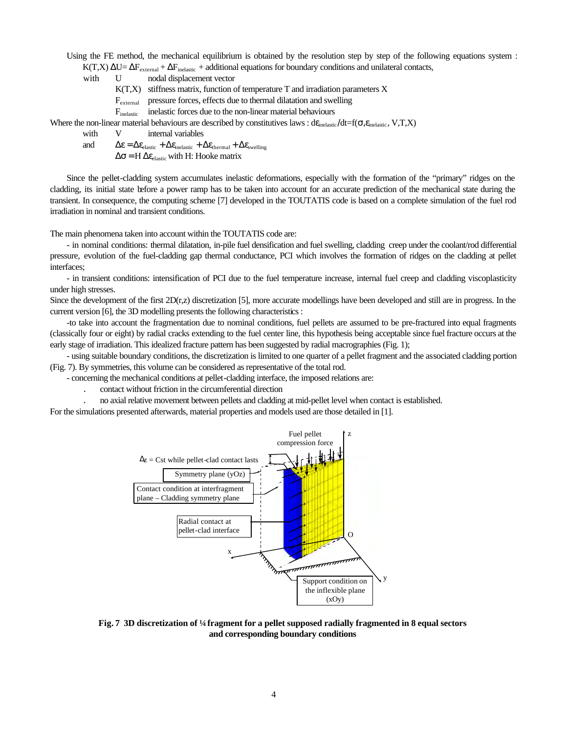Using the FE method, the mechanical equilibrium is obtained by the resolution step by step of the following equations system :

K(T,X)  $ΔU=ΔF<sub>external</sub> + ΔF<sub>inelastic</sub> + additional equations for boundary conditions and unilateral contacts,$ 

with U nodal displacement vector

 $K(T,X)$  stiffness matrix, function of temperature T and irradiation parameters X

Fexternal pressure forces, effects due to thermal dilatation and swelling

F<sub>inelastic</sub> inelastic forces due to the non-linear material behaviours

Where the non-linear material behaviours are described by constitutives laws :  $d\varepsilon_{\text{inelastic}}/dt=f(\sigma,\varepsilon_{\text{inelastic}},V,T,X)$ 

with V internal variables

and  $\Delta \varepsilon = \Delta \varepsilon_{\text{elastic}} + \Delta \varepsilon_{\text{inelastic}} + \Delta \varepsilon_{\text{thermal}} + \Delta \varepsilon_{\text{swelling}}$ 

 $\Delta \sigma = H \Delta \varepsilon_{\text{elastic}}$  with H: Hooke matrix

Since the pellet-cladding system accumulates inelastic deformations, especially with the formation of the "primary" ridges on the cladding, its initial state before a power ramp has to be taken into account for an accurate prediction of the mechanical state during the transient. In consequence, the computing scheme [7] developed in the TOUTATIS code is based on a complete simulation of the fuel rod irradiation in nominal and transient conditions.

The main phenomena taken into account within the TOUTATIS code are:

- in nominal conditions: thermal dilatation, in-pile fuel densification and fuel swelling, cladding creep under the coolant/rod differential pressure, evolution of the fuel-cladding gap thermal conductance, PCI which involves the formation of ridges on the cladding at pellet interfaces;

- in transient conditions: intensification of PCI due to the fuel temperature increase, internal fuel creep and cladding viscoplasticity under high stresses.

Since the development of the first  $2D(r,z)$  discretization [5], more accurate modellings have been developed and still are in progress. In the current version [6], the 3D modelling presents the following characteristics :

-to take into account the fragmentation due to nominal conditions, fuel pellets are assumed to be pre-fractured into equal fragments (classically four or eight) by radial cracks extending to the fuel center line, this hypothesis being acceptable since fuel fracture occurs at the early stage of irradiation. This idealized fracture pattern has been suggested by radial macrographies (Fig. 1);

- using suitable boundary conditions, the discretization is limited to one quarter of a pellet fragment and the associated cladding portion (Fig. 7). By symmetries, this volume can be considered as representative of the total rod.

- concerning the mechanical conditions at pellet-cladding interface, the imposed relations are:

. contact without friction in the circumferential direction

. no axial relative movement between pellets and cladding at mid-pellet level when contact is established.

For the simulations presented afterwards, material properties and models used are those detailed in [1].



**Fig. 7 3D discretization of ¼ fragment for a pellet supposed radially fragmented in 8 equal sectors and corresponding boundary conditions**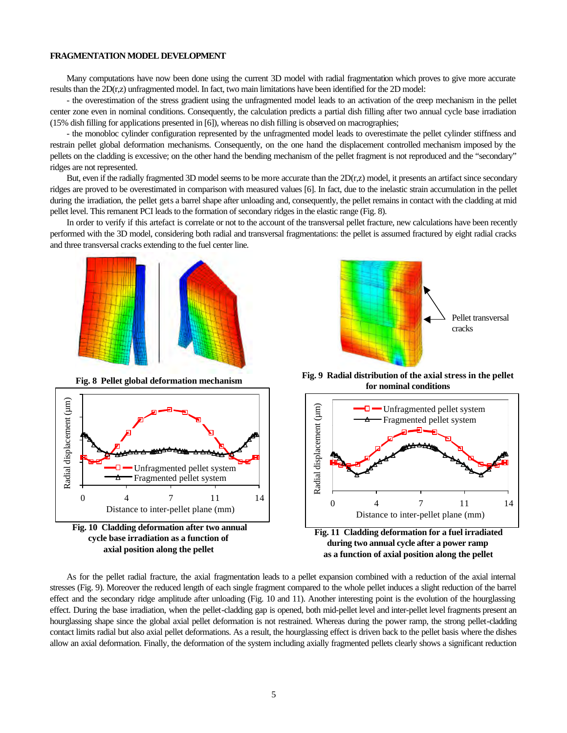#### **FRAGMENTATION MODEL DEVELOPMENT**

Many computations have now been done using the current 3D model with radial fragmentation which proves to give more accurate results than the 2D(r,z) unfragmented model. In fact, two main limitations have been identified for the 2D model:

- the overestimation of the stress gradient using the unfragmented model leads to an activation of the creep mechanism in the pellet center zone even in nominal conditions. Consequently, the calculation predicts a partial dish filling after two annual cycle base irradiation (15% dish filling for applications presented in [6]), whereas no dish filling is observed on macrographies;

- the monobloc cylinder configuration represented by the unfragmented model leads to overestimate the pellet cylinder stiffness and restrain pellet global deformation mechanisms. Consequently, on the one hand the displacement controlled mechanism imposed by the pellets on the cladding is excessive; on the other hand the bending mechanism of the pellet fragment is not reproduced and the "secondary" ridges are not represented.

But, even if the radially fragmented 3D model seems to be more accurate than the 2D(r,z) model, it presents an artifact since secondary ridges are proved to be overestimated in comparison with measured values [6]. In fact, due to the inelastic strain accumulation in the pellet during the irradiation, the pellet gets a barrel shape after unloading and, consequently, the pellet remains in contact with the cladding at mid pellet level. This remanent PCI leads to the formation of secondary ridges in the elastic range (Fig. 8).

In order to verify if this artefact is correlate or not to the account of the transversal pellet fracture, new calculations have been recently performed with the 3D model, considering both radial and transversal fragmentations: the pellet is assumed fractured by eight radial cracks and three transversal cracks extending to the fuel center line.



**Fig. 8 Pellet global deformation mechanism**







**Fig. 9 Radial distribution of the axial stress in the pellet for nominal conditions**



As for the pellet radial fracture, the axial fragmentation leads to a pellet expansion combined with a reduction of the axial internal stresses (Fig. 9). Moreover the reduced length of each single fragment compared to the whole pellet induces a slight reduction of the barrel effect and the secondary ridge amplitude after unloading (Fig. 10 and 11). Another interesting point is the evolution of the hourglassing effect. During the base irradiation, when the pellet-cladding gap is opened, both mid-pellet level and inter-pellet level fragments present an hourglassing shape since the global axial pellet deformation is not restrained. Whereas during the power ramp, the strong pellet-cladding contact limits radial but also axial pellet deformations. As a result, the hourglassing effect is driven back to the pellet basis where the dishes allow an axial deformation. Finally, the deformation of the system including axially fragmented pellets clearly shows a significant reduction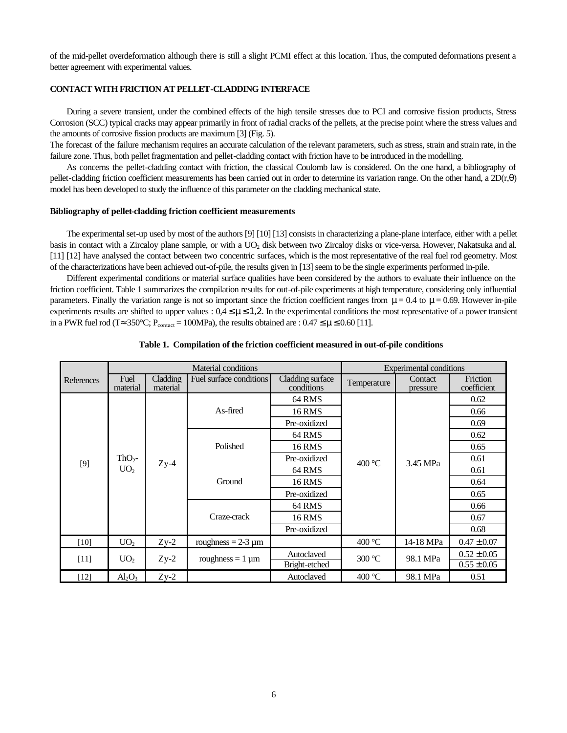of the mid-pellet overdeformation although there is still a slight PCMI effect at this location. Thus, the computed deformations present a better agreement with experimental values.

# **CONTACT WITH FRICTION AT PELLET-CLADDING INTERFACE**

During a severe transient, under the combined effects of the high tensile stresses due to PCI and corrosive fission products, Stress Corrosion (SCC) typical cracks may appear primarily in front of radial cracks of the pellets, at the precise point where the stress values and the amounts of corrosive fission products are maximum [3] (Fig. 5).

The forecast of the failure mechanism requires an accurate calculation of the relevant parameters, such as stress, strain and strain rate, in the failure zone. Thus, both pellet fragmentation and pellet-cladding contact with friction have to be introduced in the modelling.

As concerns the pellet-cladding contact with friction, the classical Coulomb law is considered. On the one hand, a bibliography of pellet-cladding friction coefficient measurements has been carried out in order to determine its variation range. On the other hand, a 2D(r,θ) model has been developed to study the influence of this parameter on the cladding mechanical state.

#### **Bibliography of pellet-cladding friction coefficient measurements**

The experimental set-up used by most of the authors [9] [10] [13] consists in characterizing a plane-plane interface, either with a pellet basis in contact with a Zircaloy plane sample, or with a UO<sub>2</sub> disk between two Zircaloy disks or vice-versa. However, Nakatsuka and al. [11] [12] have analysed the contact between two concentric surfaces, which is the most representative of the real fuel rod geometry. Most of the characterizations have been achieved out-of-pile, the results given in [13] seem to be the single experiments performed in-pile.

Different experimental conditions or material surface qualities have been considered by the authors to evaluate their influence on the friction coefficient. Table 1 summarizes the compilation results for out-of-pile experiments at high temperature, considering only influential parameters. Finally the variation range is not so important since the friction coefficient ranges from  $\mu = 0.4$  to  $\mu = 0.69$ . However in-pile experiments results are shifted to upper values :  $0.4 \leq \mu \leq 1.2$ . In the experimental conditions the most representative of a power transient in a PWR fuel rod (T≈ 350°C;  $P_{contact} = 100 MPa$ ), the results obtained are : 0.47  $\leq \mu \leq 0.60$  [11].

|            | Material conditions         |                      |                         |                                | <b>Experimental conditions</b> |                     |                         |
|------------|-----------------------------|----------------------|-------------------------|--------------------------------|--------------------------------|---------------------|-------------------------|
| References | Fuel<br>material            | Cladding<br>material | Fuel surface conditions | Cladding surface<br>conditions | Temperature                    | Contact<br>pressure | Friction<br>coefficient |
| $[9]$      | $ThO2$ -<br>UO <sub>2</sub> | $Zy-4$               | As-fired                | 64 RMS                         | 400 °C                         | 3.45 MPa            | 0.62                    |
|            |                             |                      |                         | 16 RMS                         |                                |                     | 0.66                    |
|            |                             |                      |                         | Pre-oxidized                   |                                |                     | 0.69                    |
|            |                             |                      | Polished                | 64 RMS                         |                                |                     | 0.62                    |
|            |                             |                      |                         | <b>16 RMS</b>                  |                                |                     | 0.65                    |
|            |                             |                      |                         | Pre-oxidized                   |                                |                     | 0.61                    |
|            |                             |                      | Ground                  | 64 RMS                         |                                |                     | 0.61                    |
|            |                             |                      |                         | <b>16 RMS</b>                  |                                |                     | 0.64                    |
|            |                             |                      |                         | Pre-oxidized                   |                                |                     | 0.65                    |
|            |                             |                      | Craze-crack             | 64 RMS                         |                                |                     | 0.66                    |
|            |                             |                      |                         | <b>16 RMS</b>                  |                                |                     | 0.67                    |
|            |                             |                      |                         | Pre-oxidized                   |                                |                     | 0.68                    |
| [10]       | UO <sub>2</sub>             | $Zy-2$               | roughness = $2-3 \mu m$ |                                | 400 °C                         | 14-18 MPa           | $0.47 \pm 0.07$         |
| [11]       | UO <sub>2</sub>             | $Zy-2$               | roughness $= 1 \mu m$   | Autoclaved                     | $300^{\circ}$ C                | 98.1 MPa            | $0.52 \pm 0.05$         |
|            |                             |                      |                         | Bright-etched                  |                                |                     | $0.55 \pm 0.05$         |
| $[12]$     | $Al_2O_3$                   | $Zy-2$               |                         | Autoclaved                     | 400 °C                         | 98.1 MPa            | 0.51                    |

#### **Table 1. Compilation of the friction coefficient measured in out-of-pile conditions**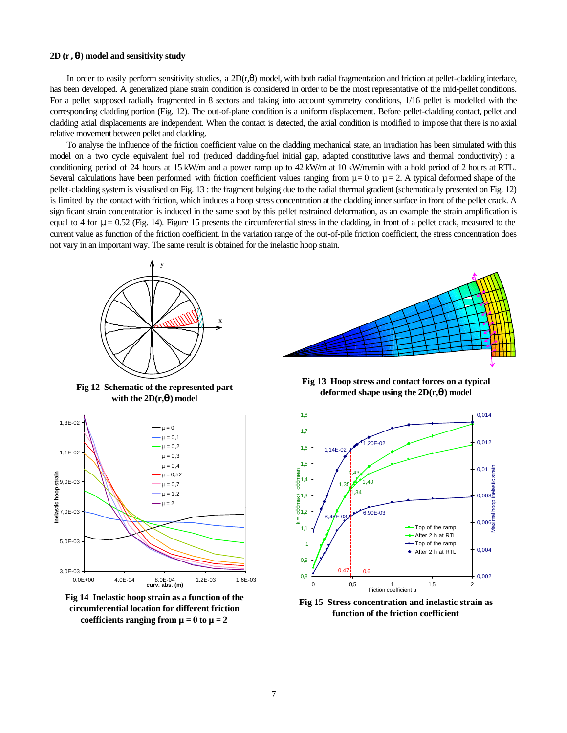#### **2D (r , q, q ) model and sensitivity study**

In order to easily perform sensitivity studies, a  $2D(r,\theta)$  model, with both radial fragmentation and friction at pellet-cladding interface, has been developed. A generalized plane strain condition is considered in order to be the most representative of the mid-pellet conditions. For a pellet supposed radially fragmented in 8 sectors and taking into account symmetry conditions, 1/16 pellet is modelled with the corresponding cladding portion (Fig. 12). The out-of-plane condition is a uniform displacement. Before pellet-cladding contact, pellet and cladding axial displacements are independent. When the contact is detected, the axial condition is modified to impose that there is no axial relative movement between pellet and cladding.

To analyse the influence of the friction coefficient value on the cladding mechanical state, an irradiation has been simulated with this model on a two cycle equivalent fuel rod (reduced cladding-fuel initial gap, adapted constitutive laws and thermal conductivity) : a conditioning period of 24 hours at 15 kW/m and a power ramp up to 42 kW/m at 10 kW/m/min with a hold period of 2 hours at RTL. Several calculations have been performed with friction coefficient values ranging from  $\mu = 0$  to  $\mu = 2$ . A typical deformed shape of the pellet-cladding system is visualised on Fig. 13 : the fragment bulging due to the radial thermal gradient (schematically presented on Fig. 12) is limited by the contact with friction, which induces a hoop stress concentration at the cladding inner surface in front of the pellet crack. A significant strain concentration is induced in the same spot by this pellet restrained deformation, as an example the strain amplification is equal to 4 for μ = 0.52 (Fig. 14). Figure 15 presents the circumferential stress in the cladding, in front of a pellet crack, measured to the current value as function of the friction coefficient. In the variation range of the out-of-pile friction coefficient, the stress concentration does not vary in an important way. The same result is obtained for the inelastic hoop strain.



**Fig 12 Schematic of the represented part** with the  $2D(r, \mathbf{q})$  model







**Fig 13 Hoop stress and contact forces on a typical deformed shape using the 2D(r,qq ) model**



**Fig 15 Stress concentration and inelastic strain as function of the friction coefficient**